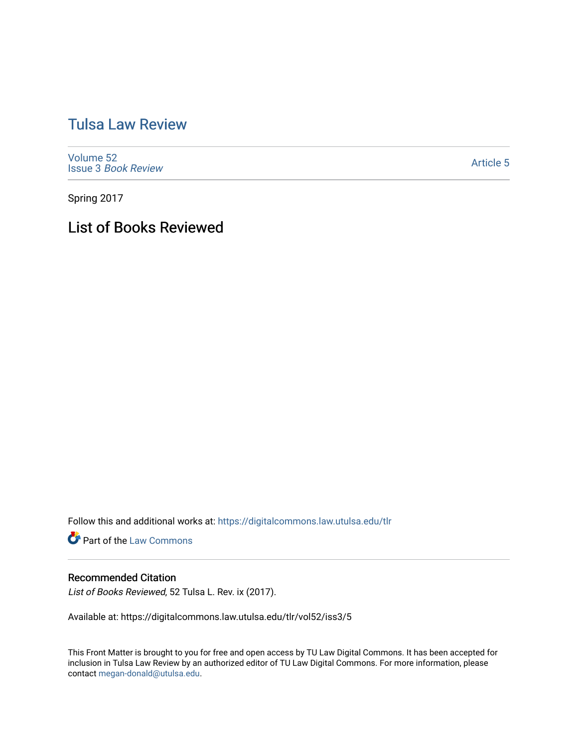# [Tulsa Law Review](https://digitalcommons.law.utulsa.edu/tlr)

[Volume 52](https://digitalcommons.law.utulsa.edu/tlr/vol52) Issue 3 [Book Review](https://digitalcommons.law.utulsa.edu/tlr/vol52/iss3)

[Article 5](https://digitalcommons.law.utulsa.edu/tlr/vol52/iss3/5) 

Spring 2017

List of Books Reviewed

Follow this and additional works at: [https://digitalcommons.law.utulsa.edu/tlr](https://digitalcommons.law.utulsa.edu/tlr?utm_source=digitalcommons.law.utulsa.edu%2Ftlr%2Fvol52%2Fiss3%2F5&utm_medium=PDF&utm_campaign=PDFCoverPages) 

**Part of the [Law Commons](http://network.bepress.com/hgg/discipline/578?utm_source=digitalcommons.law.utulsa.edu%2Ftlr%2Fvol52%2Fiss3%2F5&utm_medium=PDF&utm_campaign=PDFCoverPages)** 

#### Recommended Citation

List of Books Reviewed, 52 Tulsa L. Rev. ix (2017).

Available at: https://digitalcommons.law.utulsa.edu/tlr/vol52/iss3/5

This Front Matter is brought to you for free and open access by TU Law Digital Commons. It has been accepted for inclusion in Tulsa Law Review by an authorized editor of TU Law Digital Commons. For more information, please contact [megan-donald@utulsa.edu.](mailto:megan-donald@utulsa.edu)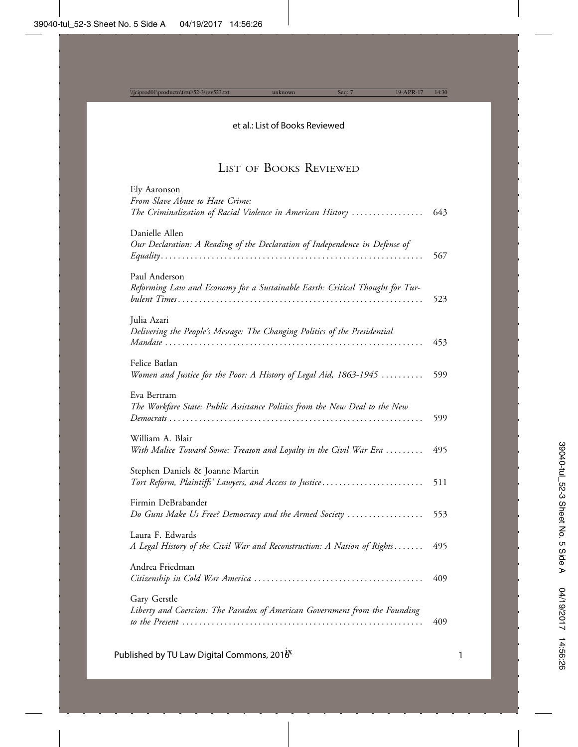# LIST OF BOOKS REVIEWED

| Ely Aaronson                                                                               |     |
|--------------------------------------------------------------------------------------------|-----|
| From Slave Abuse to Hate Crime:                                                            |     |
| The Criminalization of Racial Violence in American History                                 | 643 |
| Danielle Allen                                                                             |     |
| Our Declaration: A Reading of the Declaration of Independence in Defense of                |     |
|                                                                                            | 567 |
|                                                                                            |     |
| Paul Anderson                                                                              |     |
| Reforming Law and Economy for a Sustainable Earth: Critical Thought for Tur-               |     |
|                                                                                            | 523 |
| Julia Azari                                                                                |     |
| Delivering the People's Message: The Changing Politics of the Presidential                 |     |
| Mandate                                                                                    | 453 |
|                                                                                            |     |
| Felice Batlan                                                                              |     |
| Women and Justice for the Poor: A History of Legal Aid, 1863-1945                          | 599 |
| Eva Bertram                                                                                |     |
| The Workfare State: Public Assistance Politics from the New Deal to the New                |     |
|                                                                                            | 599 |
|                                                                                            |     |
| William A. Blair                                                                           |     |
| With Malice Toward Some: Treason and Loyalty in the Civil War Era                          | 495 |
|                                                                                            |     |
| Stephen Daniels & Joanne Martin<br>Tort Reform, Plaintiffs' Lawyers, and Access to Justice | 511 |
|                                                                                            |     |
| Firmin DeBrabander                                                                         |     |
| Do Guns Make Us Free? Democracy and the Armed Society                                      | 553 |
|                                                                                            |     |
| Laura F. Edwards                                                                           |     |
| A Legal History of the Civil War and Reconstruction: A Nation of Rights                    | 495 |
| Andrea Friedman                                                                            |     |
|                                                                                            | 409 |
|                                                                                            |     |
| Gary Gerstle                                                                               |     |
| Liberty and Coercion: The Paradox of American Government from the Founding                 |     |
|                                                                                            | 409 |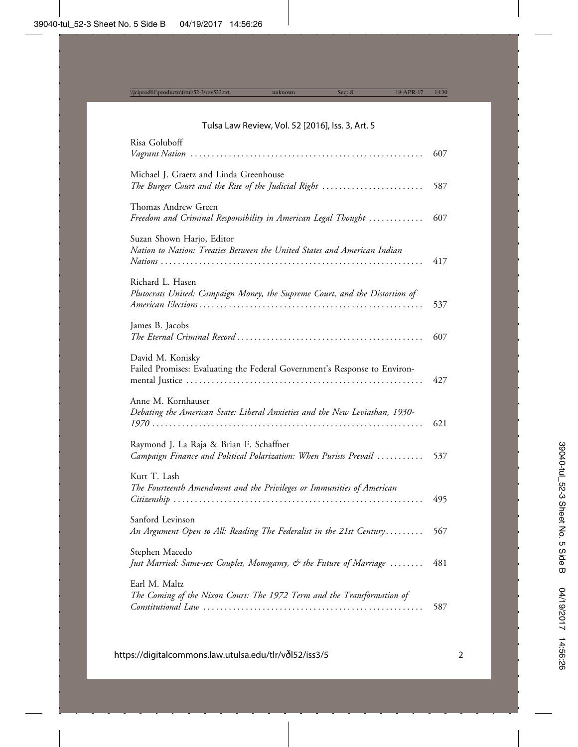## Tulsa Law Review, Vol. 52 [2016], Iss. 3, Art. 5

| Risa Goluboff                                                                                                | 607 |
|--------------------------------------------------------------------------------------------------------------|-----|
| Michael J. Graetz and Linda Greenhouse<br>The Burger Court and the Rise of the Judicial Right                | 587 |
| Thomas Andrew Green<br>Freedom and Criminal Responsibility in American Legal Thought                         | 607 |
| Suzan Shown Harjo, Editor<br>Nation to Nation: Treaties Between the United States and American Indian        | 417 |
| Richard L. Hasen<br>Plutocrats United: Campaign Money, the Supreme Court, and the Distortion of              | 537 |
| James B. Jacobs                                                                                              | 607 |
| David M. Konisky<br>Failed Promises: Evaluating the Federal Government's Response to Environ-                | 427 |
| Anne M. Kornhauser<br>Debating the American State: Liberal Anxieties and the New Leviathan, 1930-            | 621 |
| Raymond J. La Raja & Brian F. Schaffner<br>Campaign Finance and Political Polarization: When Purists Prevail | 537 |
| Kurt T. Lash<br>The Fourteenth Amendment and the Privileges or Immunities of American                        | 495 |
| Sanford Levinson<br>An Argument Open to All: Reading The Federalist in the 21st Century                      | 567 |
| Stephen Macedo<br>Just Married: Same-sex Couples, Monogamy, & the Future of Marriage                         | 481 |
| Earl M. Maltz<br>The Coming of the Nixon Court: The 1972 Term and the Transformation of                      | 587 |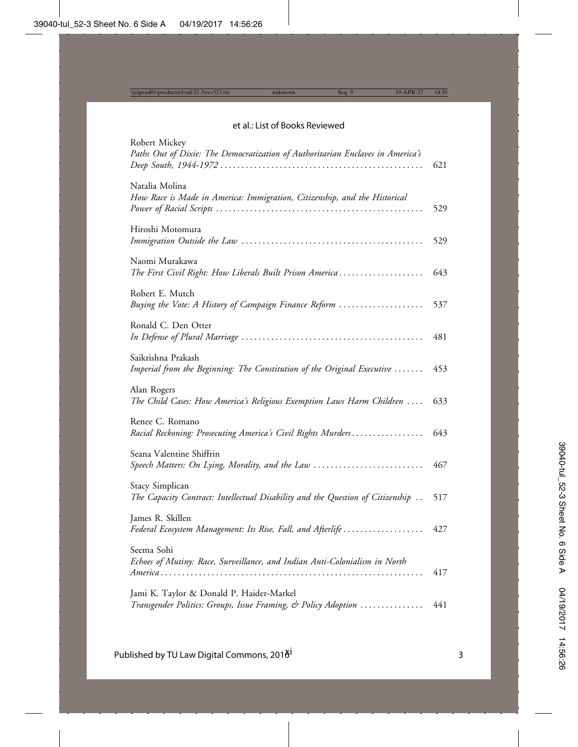#### et al.: List of Books Reviewed

| Robert Mickey<br>Paths Out of Dixie: The Democratization of Authoritarian Enclaves in America's            | 621 |
|------------------------------------------------------------------------------------------------------------|-----|
| Natalia Molina<br>How Race is Made in America: Immigration, Citizenship, and the Historical                | 529 |
| Hiroshi Motomura                                                                                           | 529 |
| Naomi Murakawa<br>The First Civil Right: How Liberals Built Prison America                                 | 643 |
| Robert E. Mutch<br>Buying the Vote: A History of Campaign Finance Reform                                   | 537 |
| Ronald C. Den Otter                                                                                        | 481 |
| Saikrishna Prakash<br>Imperial from the Beginning: The Constitution of the Original Executive              | 453 |
| Alan Rogers<br>The Child Cases: How America's Religious Exemption Laws Harm Children                       | 633 |
| Renee C. Romano<br>Racial Reckoning: Prosecuting America's Civil Rights Murders                            | 643 |
| Seana Valentine Shiffrin<br>Speech Matters: On Lying, Morality, and the Law                                | 467 |
| Stacy Simplican<br>The Capacity Contract: Intellectual Disability and the Question of Citizenship          | 517 |
| James R. Skillen<br>Federal Ecosystem Management: Its Rise, Fall, and Afterlife                            | 427 |
| Seema Sohi<br>Echoes of Mutiny: Race, Surveillance, and Indian Anti-Colonialism in North                   | 417 |
| Jami K. Taylor & Donald P. Haider-Markel<br>Transgender Politics: Groups, Issue Framing, & Policy Adoption | 441 |